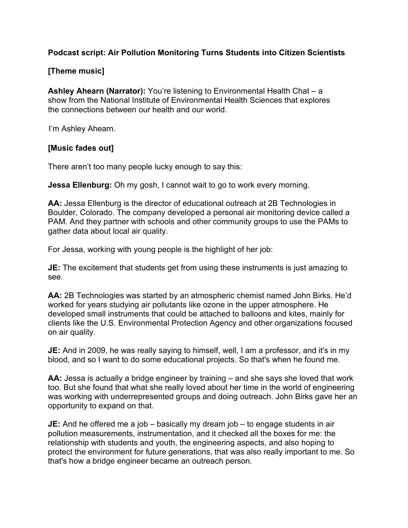## **Podcast script: Air Pollution Monitoring Turns Students into Citizen Scientists**

## **[Theme music]**

 **Ashley Ahearn (Narrator):** You're listening to Environmental Health Chat – a show from the National Institute of Environmental Health Sciences that explores the connections between our health and our world.

I'm Ashley Ahearn.

## **[Music fades out]**

There aren't too many people lucky enough to say this:

**Jessa Ellenburg:** Oh my gosh, I cannot wait to go to work every morning.

 Boulder, Colorado. The company developed a personal air monitoring device called a gather data about local air quality. **AA:** Jessa Ellenburg is the director of educational outreach at 2B Technologies in PAM. And they partner with schools and other community groups to use the PAMs to

For Jessa, working with young people is the highlight of her job:

**JE:** The excitement that students get from using these instruments is just amazing to see.

**AA:** 2B Technologies was started by an atmospheric chemist named John Birks. He'd worked for years studying air pollutants like ozone in the upper atmosphere. He developed small instruments that could be attached to balloons and kites, mainly for clients like the U.S. Environmental Protection Agency and other organizations focused on air quality.

 blood, and so I want to do some educational projects. So that's when he found me. **JE:** And in 2009, he was really saying to himself, well, I am a professor, and it's in my

**AA:** Jessa is actually a bridge engineer by training – and she says she loved that work too. But she found that what she really loved about her time in the world of engineering was working with underrepresented groups and doing outreach. John Birks gave her an opportunity to expand on that.

 **JE:** And he offered me a job – basically my dream job – to engage students in air pollution measurements, instrumentation, and it checked all the boxes for me: the relationship with students and youth, the engineering aspects, and also hoping to protect the environment for future generations, that was also really important to me. So that's how a bridge engineer became an outreach person.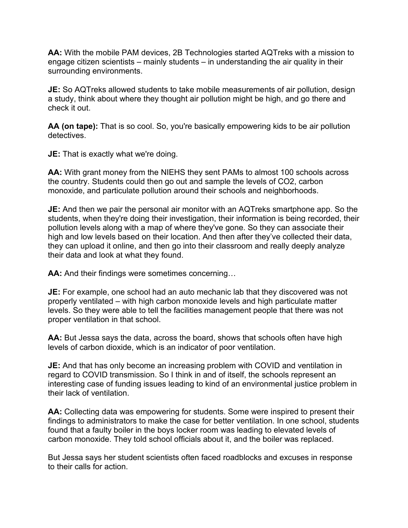**AA:** With the mobile PAM devices, 2B Technologies started AQTreks with a mission to engage citizen scientists – mainly students – in understanding the air quality in their surrounding environments.

 **JE:** So AQTreks allowed students to take mobile measurements of air pollution, design a study, think about where they thought air pollution might be high, and go there and check it out.

**AA (on tape):** That is so cool. So, you're basically empowering kids to be air pollution detectives.

**JE:** That is exactly what we're doing.

 **AA:** With grant money from the NIEHS they sent PAMs to almost 100 schools across the country. Students could then go out and sample the levels of CO2, carbon monoxide, and particulate pollution around their schools and neighborhoods.

 high and low levels based on their location. And then after they've collected their data, they can upload it online, and then go into their classroom and really deeply analyze their data and look at what they found. **JE:** And then we pair the personal air monitor with an AQTreks smartphone app. So the students, when they're doing their investigation, their information is being recorded, their pollution levels along with a map of where they've gone. So they can associate their

**AA:** And their findings were sometimes concerning…

 levels. So they were able to tell the facilities management people that there was not **JE:** For example, one school had an auto mechanic lab that they discovered was not properly ventilated – with high carbon monoxide levels and high particulate matter proper ventilation in that school.

**AA:** But Jessa says the data, across the board, shows that schools often have high levels of carbon dioxide, which is an indicator of poor ventilation.

 **JE:** And that has only become an increasing problem with COVID and ventilation in regard to COVID transmission. So I think in and of itself, the schools represent an interesting case of funding issues leading to kind of an environmental justice problem in their lack of ventilation.

 **AA:** Collecting data was empowering for students. Some were inspired to present their findings to administrators to make the case for better ventilation. In one school, students found that a faulty boiler in the boys locker room was leading to elevated levels of carbon monoxide. They told school officials about it, and the boiler was replaced.

But Jessa says her student scientists often faced roadblocks and excuses in response to their calls for action.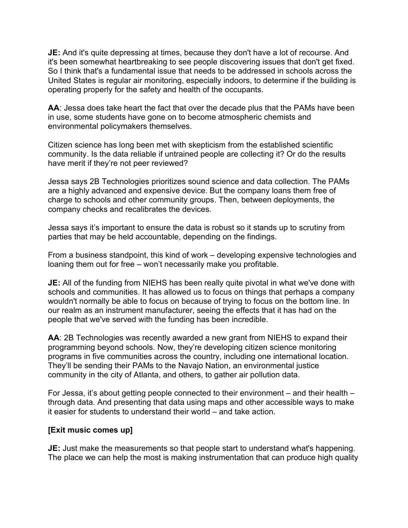it's been somewhat heartbreaking to see people discovering issues that don't get fixed. So I think that's a fundamental issue that needs to be addressed in schools across the **JE:** And it's quite depressing at times, because they don't have a lot of recourse. And United States is regular air monitoring, especially indoors, to determine if the building is operating properly for the safety and health of the occupants.

**AA**: Jessa does take heart the fact that over the decade plus that the PAMs have been in use, some students have gone on to become atmospheric chemists and environmental policymakers themselves.

Citizen science has long been met with skepticism from the established scientific community. Is the data reliable if untrained people are collecting it? Or do the results have merit if they're not peer reviewed?

 charge to schools and other community groups. Then, between deployments, the Jessa says 2B Technologies prioritizes sound science and data collection. The PAMs are a highly advanced and expensive device. But the company loans them free of company checks and recalibrates the devices.

 Jessa says it's important to ensure the data is robust so it stands up to scrutiny from parties that may be held accountable, depending on the findings.

 From a business standpoint, this kind of work – developing expensive technologies and loaning them out for free – won't necessarily make you profitable.

 schools and communities. It has allowed us to focus on things that perhaps a company our realm as an instrument manufacturer, seeing the effects that it has had on the people that we've served with the funding has been incredible. **JE:** All of the funding from NIEHS has been really quite pivotal in what we've done with wouldn't normally be able to focus on because of trying to focus on the bottom line. In

**AA**: 2B Technologies was recently awarded a new grant from NIEHS to expand their programming beyond schools. Now, they're developing citizen science monitoring programs in five communities across the country, including one international location. They'll be sending their PAMs to the Navajo Nation, an environmental justice community in the city of Atlanta, and others, to gather air pollution data.

 For Jessa, it's about getting people connected to their environment – and their health – it easier for students to understand their world – and take action. through data. And presenting that data using maps and other accessible ways to make

## **[Exit music comes up]**

 **JE:** Just make the measurements so that people start to understand what's happening. The place we can help the most is making instrumentation that can produce high quality